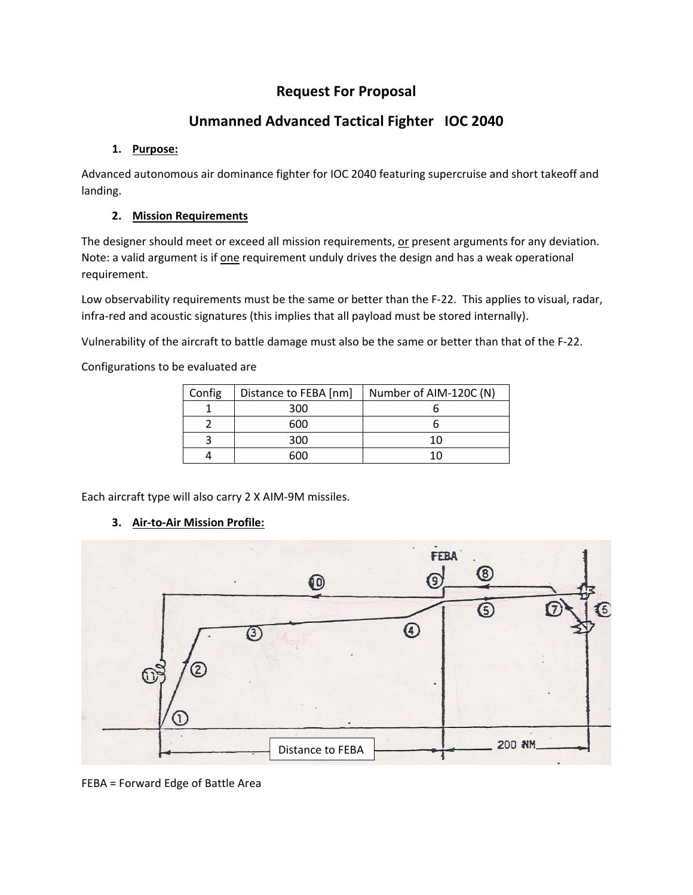# **Request For Proposal**

# **Unmanned Advanced Tactical Fighter IOC 2040**

## **1. Purpose:**

Advanced autonomous air dominance fighter for IOC 2040 featuring supercruise and short takeoff and landing.

## **2. Mission Requirements**

The designer should meet or exceed all mission requirements, or present arguments for any deviation. Note: a valid argument is if one requirement unduly drives the design and has a weak operational requirement.

Low observability requirements must be the same or better than the F-22. This applies to visual, radar, infra-red and acoustic signatures (this implies that all payload must be stored internally).

Vulnerability of the aircraft to battle damage must also be the same or better than that of the F‐22.

Configurations to be evaluated are

| Config | Distance to FEBA [nm] | Number of AIM-120C (N) |
|--------|-----------------------|------------------------|
|        | 300                   |                        |
|        | 600                   |                        |
|        | 300                   |                        |
|        | ഹെ                    |                        |

Each aircraft type will also carry 2 X AIM‐9M missiles.

## **3. Air‐to‐Air Mission Profile:**



FEBA = Forward Edge of Battle Area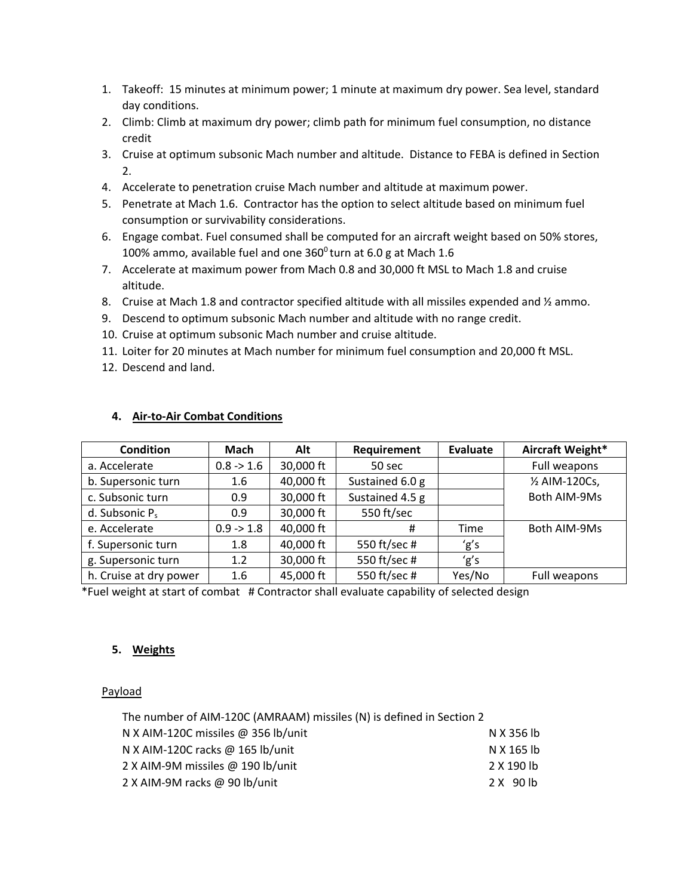- 1. Takeoff: 15 minutes at minimum power; 1 minute at maximum dry power. Sea level, standard day conditions.
- 2. Climb: Climb at maximum dry power; climb path for minimum fuel consumption, no distance credit
- 3. Cruise at optimum subsonic Mach number and altitude. Distance to FEBA is defined in Section 2.
- 4. Accelerate to penetration cruise Mach number and altitude at maximum power.
- 5. Penetrate at Mach 1.6. Contractor has the option to select altitude based on minimum fuel consumption or survivability considerations.
- 6. Engage combat. Fuel consumed shall be computed for an aircraft weight based on 50% stores, 100% ammo, available fuel and one  $360^{\circ}$  turn at 6.0 g at Mach 1.6
- 7. Accelerate at maximum power from Mach 0.8 and 30,000 ft MSL to Mach 1.8 and cruise altitude.
- 8. Cruise at Mach 1.8 and contractor specified altitude with all missiles expended and  $\frac{1}{2}$  ammo.
- 9. Descend to optimum subsonic Mach number and altitude with no range credit.
- 10. Cruise at optimum subsonic Mach number and cruise altitude.
- 11. Loiter for 20 minutes at Mach number for minimum fuel consumption and 20,000 ft MSL.
- 12. Descend and land.

| <b>Condition</b>       | Mach        | Alt       | Requirement     | Evaluate | Aircraft Weight* |
|------------------------|-------------|-----------|-----------------|----------|------------------|
| a. Accelerate          | $0.8 - 1.6$ | 30,000 ft | 50 sec          |          | Full weapons     |
| b. Supersonic turn     | 1.6         | 40,000 ft | Sustained 6.0 g |          | 1/2 AIM-120Cs,   |
| c. Subsonic turn       | 0.9         | 30,000 ft | Sustained 4.5 g |          | Both AIM-9Ms     |
| d. Subsonic $P_s$      | 0.9         | 30,000 ft | 550 ft/sec      |          |                  |
| e. Accelerate          | $0.9 - 1.8$ | 40,000 ft | #               | Time     | Both AIM-9Ms     |
| f. Supersonic turn     | 1.8         | 40,000 ft | 550 ft/sec #    | 'g's     |                  |
| g. Supersonic turn     | 1.2         | 30,000 ft | 550 ft/sec #    | 'g's     |                  |
| h. Cruise at dry power | 1.6         | 45,000 ft | 550 ft/sec #    | Yes/No   | Full weapons     |

#### **4. Air‐to‐Air Combat Conditions**

\*Fuel weight at start of combat # Contractor shall evaluate capability of selected design

#### **5. Weights**

#### Payload

| The number of AIM-120C (AMRAAM) missiles (N) is defined in Section 2 |            |  |  |  |  |
|----------------------------------------------------------------------|------------|--|--|--|--|
| N X AIM-120C missiles @ 356 lb/unit                                  | N X 356 lb |  |  |  |  |
| N X AIM-120C racks @ 165 lb/unit                                     | N X 165 lb |  |  |  |  |
| 2 X AIM-9M missiles @ 190 lb/unit                                    | 2 X 190 lb |  |  |  |  |
| 2 X AIM-9M racks @ 90 lb/unit                                        | 2 X 90 lb  |  |  |  |  |